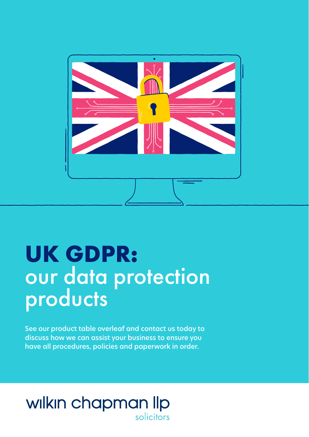

# **UK GDPR:** our data protection products

See our product table overleaf and contact us today to discuss how we can assist your business to ensure you have all procedures, policies and paperwork in order.

## wilkin chapman llp solicitors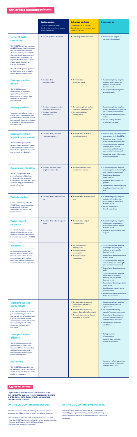#### **On-site UK GDPR training** *(general)*

A one hour overview of the UK GDPR regulations and measures businesses should put in place to ensure compliance, including:

• *An introduction to the UK GDPR and Data Protection Act 2018*

- *How the UK GDPR will directly affect HR and operational processes*
- *Practical workflows for the UK GDPR compliance*
- *Detecting and dealing with breaches*

### **On-site UK GDPR training** *(bespoke)*

Prior consultation meeting to review the UK GDPR training required by your organisation and preparing and delivering a

tailored presentation to staff with reference to your policies and

procedures.

#### **Additional services**

|                                                                                                                                                                                                                                                                                                                                                                                                                                                             | <b>Basic package</b><br>Fixed Fee for all documents.<br>Specific policies can be purchased<br>on individual basis | <b>Enhanced package</b><br><b>Fixed Fee for all documents.</b><br>Specific policies can be purchased<br>on individual basis | Pay as you go                                                                                                                                                                                                                                                                                                           |
|-------------------------------------------------------------------------------------------------------------------------------------------------------------------------------------------------------------------------------------------------------------------------------------------------------------------------------------------------------------------------------------------------------------------------------------------------------------|-------------------------------------------------------------------------------------------------------------------|-----------------------------------------------------------------------------------------------------------------------------|-------------------------------------------------------------------------------------------------------------------------------------------------------------------------------------------------------------------------------------------------------------------------------------------------------------------------|
| <b>General data</b><br>protection<br>The UK GDPR and Data Protection<br>Act 2018 has significantly changed<br>how businesses should collect,<br>store and process personal data.<br>Our general guidance document<br>will provide an overview of the<br>key considerations organisations<br>should take in their journey<br>towards compliance.<br>This will include general guidance<br>on data audits, which should be<br>undertaken as a starting point. | • General guidance document                                                                                       | • General guidance document                                                                                                 | • Guidance and support on<br>carrying out data audit                                                                                                                                                                                                                                                                    |
| <b>Data protection</b><br>policy<br>The UK GDPR requires<br>organisations to implement<br>appropriate policies and<br>procedures which outline their<br>approach to protecting<br>personal data.                                                                                                                                                                                                                                                            | • Template data<br>protection policy                                                                              | • Template data<br>protection policy                                                                                        | • Support completing template<br>data protection policy and<br>tailoring for your specific<br>business needs<br>• Review/amend existing data<br>protection policy                                                                                                                                                       |
| <b>Privacy notices</b><br>Transparency is a key principle of<br>the UK GDPR and requires you to<br>provide data subjects with certain<br>information (privacy notices) about<br>the manner in which you use their<br>personal data.                                                                                                                                                                                                                         | • Template employee, worker,<br>contractor privacy notice<br>• Template candidate<br>privacy notice               | • Template employee, worker,<br>contractor privacy notice<br>• Template candidate<br>privacy notice                         | • Support completing template<br>privacy notices and tailoring for<br>your specific business needs<br>Review/amend existing privacy<br>٠<br>notices<br>• Review existing standard<br>employment contract                                                                                                                |
| <b>Data protection</b><br>impact assessments<br>The UK GDPR requires you to<br>conduct a data protection impact<br>assessment if processing is likely<br>to result in a high risk to the rights<br>and freedoms of individuals.                                                                                                                                                                                                                             | • Template data protection<br>impact assessment                                                                   | • Template data protection<br>impact assessment                                                                             | • Bespoke data protection impact<br>assessments (including CCTV)<br>• Support carrying out data<br>protection impact assessment<br>• Support completing template<br>data protection impact<br>assessment and tailoring for<br>your specific business needs<br>• Support carrying out legitimate<br>interest assessments |
| <b>Document retention</b><br>The UK GDPR provides that<br>personal data should be kept<br>for no longer than necessary.<br>Consideration will need to be given<br>as to how long you need to keep<br>certain information.                                                                                                                                                                                                                                   | • Template retention policy<br>(employment records)                                                               | • Template retention policy<br>(employment records)                                                                         | • Support completing template<br>retention policy and tailoring for<br>your specific business needs<br>• Review/amend existing<br>retention policy<br>• Advice on specific retention<br>periods<br>• Draft bespoke externally facing<br>(supplier/customer) retention<br>policy                                         |
| <b>Data breaches</b><br>It is now mandatory under the<br>UK GDPR to report certain data                                                                                                                                                                                                                                                                                                                                                                     | • Template data breach incident<br>plan                                                                           | • Template data breach incident<br>plan                                                                                     | • Support completing template<br>data breach incident plan<br>and tailoring to your specific<br>business needs<br>• Review current data                                                                                                                                                                                 |

| breaches within 72 hours.<br>We can help you prepare for<br>breach incidents.                                                                                                                                                                                                                          |                                            |                                                                                                                                                                                                          | • Review current data<br>breach procedures                                                                                                                                                                                                                                                                                                                                                                                                                                                                                                                                                         |
|--------------------------------------------------------------------------------------------------------------------------------------------------------------------------------------------------------------------------------------------------------------------------------------------------------|--------------------------------------------|----------------------------------------------------------------------------------------------------------------------------------------------------------------------------------------------------------|----------------------------------------------------------------------------------------------------------------------------------------------------------------------------------------------------------------------------------------------------------------------------------------------------------------------------------------------------------------------------------------------------------------------------------------------------------------------------------------------------------------------------------------------------------------------------------------------------|
| <b>Data subject</b><br>requests<br>An individual's right to request<br>certain information and action<br>regarding personal data has now<br>been extended under the UK GDPR.                                                                                                                           | • Template data subject requests<br>policy | • Template data subject<br>requests policy                                                                                                                                                               | • Support completing template<br>data subject requests policy<br>and tailoring for your specific<br>business needs<br>• Advice on specific data subject<br>requests                                                                                                                                                                                                                                                                                                                                                                                                                                |
| <b>Website</b><br>An organisation's website is<br>typically an area through which<br>they will process data. Various<br>documentation will therefore<br>need to be in place to ensure that<br>necessary information is provided.                                                                       |                                            | • Template website<br>privacy policy<br>• Template website<br>cookie policy<br>• Template website<br>terms of use                                                                                        | • Support completing template<br>website privacy policy and<br>tailoring for your specific<br>business needs<br>• Review/amend existing website<br>privacy policy<br>• Support completing template<br>cookies policy and tailoring for<br>your specific business needs<br>• Review/amend existing cookies<br>policy<br>• Support completing template<br>website terms of use and<br>tailoring for your specific<br>business needs<br>• Review/amend existing website<br>terms of use<br>• Draft bespoke website terms<br>and conditions<br>• Review/amend existing website<br>terms and conditions |
| <b>Data processing</b><br>agreements<br>If you use third parties to process<br>personal data on your behalf<br>(e.g. payroll) you will need to have<br>a written agreement in place<br>which contains certain information<br>(as required by the UK GDPR)<br>about how that data will be<br>processed. |                                            | • Template data processing<br>agreement (Controller to<br>Processor)<br>• Template data processing<br>clauses (Controller to Processor)<br>• Template data sharing clauses<br>(Controller to Controller) | • Support completing template<br>data processing/sharing<br>agreements<br>• Review/amend existing<br>supplier/customer agreements<br>• Review/amend existing terms<br>and conditions in relation to<br>data protection provisions<br>• Draft bespoke terms and<br>conditions                                                                                                                                                                                                                                                                                                                       |
| <b>Data protection</b><br><b>officers</b><br>The UK GDPR requires certain<br>organisations to have a Data<br>Protection Officer. This individual<br>will have certain rights and<br>responsibilities regarding data<br>protection compliance.                                                          |                                            |                                                                                                                                                                                                          | • Data protection<br>officer training<br>• Advising data protection<br>officers/support line                                                                                                                                                                                                                                                                                                                                                                                                                                                                                                       |
| <b>Marketing</b><br>The UK GDPR has raised the bar<br>on the level of consent required to<br>enable an organisation to directly<br>market to consumers.                                                                                                                                                |                                            |                                                                                                                                                                                                          | • Advice on marketing practices<br>and procedures in relation to<br>data protection law                                                                                                                                                                                                                                                                                                                                                                                                                                                                                                            |

Organisations should ensure that relevant staff throughout the business receive appropriate training in order to promote data protection awareness throughout the business.